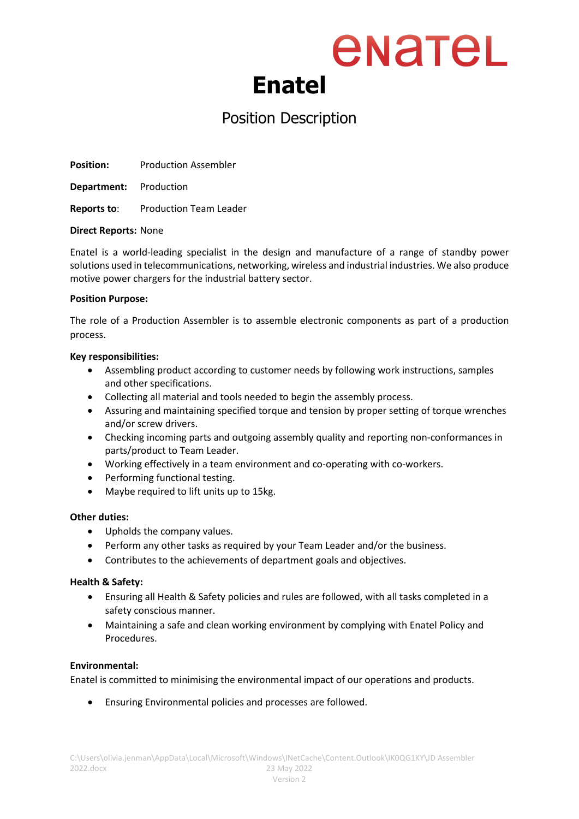### enatel **Enatel**

### Position Description

**Position:** Production Assembler

**Department:** Production

**Reports to**: Production Team Leader

#### **Direct Reports:** None

Enatel is a world-leading specialist in the design and manufacture of a range of standby power solutions used in telecommunications, networking, wireless and industrial industries. We also produce motive power chargers for the industrial battery sector.

#### **Position Purpose:**

The role of a Production Assembler is to assemble electronic components as part of a production process.

#### **Key responsibilities:**

- Assembling product according to customer needs by following work instructions, samples and other specifications.
- Collecting all material and tools needed to begin the assembly process.
- Assuring and maintaining specified torque and tension by proper setting of torque wrenches and/or screw drivers.
- Checking incoming parts and outgoing assembly quality and reporting non-conformances in parts/product to Team Leader.
- Working effectively in a team environment and co-operating with co-workers.
- Performing functional testing.
- Maybe required to lift units up to 15kg.

#### **Other duties:**

- Upholds the company values.
- Perform any other tasks as required by your Team Leader and/or the business.
- Contributes to the achievements of department goals and objectives.

#### **Health & Safety:**

- Ensuring all Health & Safety policies and rules are followed, with all tasks completed in a safety conscious manner.
- Maintaining a safe and clean working environment by complying with Enatel Policy and Procedures.

#### **Environmental:**

Enatel is committed to minimising the environmental impact of our operations and products.

• Ensuring Environmental policies and processes are followed.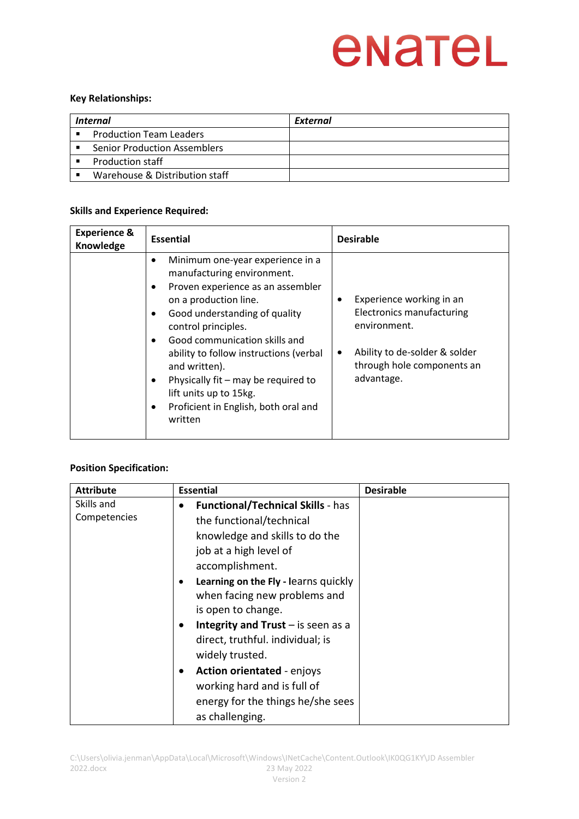# enatel

#### **Key Relationships:**

| Internal |                                     | External |
|----------|-------------------------------------|----------|
|          | <b>Production Team Leaders</b>      |          |
|          | <b>Senior Production Assemblers</b> |          |
|          | <b>Production staff</b>             |          |
|          | Warehouse & Distribution staff      |          |

#### **Skills and Experience Required:**

| <b>Experience &amp;</b><br>Knowledge | <b>Essential</b>                                                                                                                                                                                                                                                                                                                                                                                                                                                                   | <b>Desirable</b>                                                                                                                                                     |
|--------------------------------------|------------------------------------------------------------------------------------------------------------------------------------------------------------------------------------------------------------------------------------------------------------------------------------------------------------------------------------------------------------------------------------------------------------------------------------------------------------------------------------|----------------------------------------------------------------------------------------------------------------------------------------------------------------------|
|                                      | Minimum one-year experience in a<br>$\bullet$<br>manufacturing environment.<br>Proven experience as an assembler<br>$\bullet$<br>on a production line.<br>Good understanding of quality<br>$\bullet$<br>control principles.<br>Good communication skills and<br>$\bullet$<br>ability to follow instructions (verbal<br>and written).<br>Physically fit – may be required to<br>$\bullet$<br>lift units up to 15kg.<br>Proficient in English, both oral and<br>$\bullet$<br>written | Experience working in an<br>٠<br>Electronics manufacturing<br>environment.<br>Ability to de-solder & solder<br>$\bullet$<br>through hole components an<br>advantage. |

#### **Position Specification:**

| <b>Attribute</b>           | <b>Essential</b>                                                                                                                                                                                                                                                                                                                                                                                                                                                             | <b>Desirable</b> |
|----------------------------|------------------------------------------------------------------------------------------------------------------------------------------------------------------------------------------------------------------------------------------------------------------------------------------------------------------------------------------------------------------------------------------------------------------------------------------------------------------------------|------------------|
| Skills and<br>Competencies | <b>Functional/Technical Skills - has</b><br>the functional/technical<br>knowledge and skills to do the<br>job at a high level of<br>accomplishment.<br>Learning on the Fly - learns quickly<br>when facing new problems and<br>is open to change.<br>Integrity and Trust $-$ is seen as a<br>direct, truthful. individual; is<br>widely trusted.<br><b>Action orientated - enjoys</b><br>working hard and is full of<br>energy for the things he/she sees<br>as challenging. |                  |